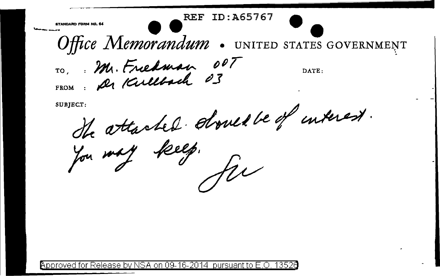STANDARD FORM NO. 64

Office Memorandum . UNITED STATES GOVERNMENT TO, Mr. Friedman 007 DATE:

ID:A65767

REF.

SUBJECT:

He attached should be of interest.

Approved for Release by NSA on 09-16-2014 pursuant to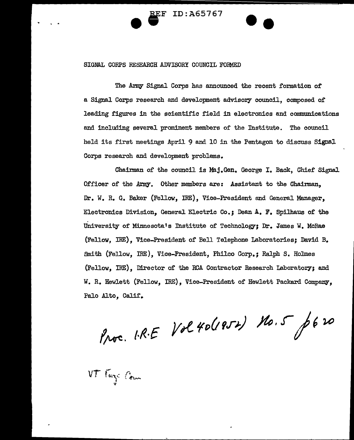EF ID:A65767

## SIGNAL CORPS RESEARCH ADVISORY COUNCIL FOBMED

The Army Signal Corps has announced the recent formation of a Signal Corps research and development advisory council, composed of leading figures in the scientific field in electronics and communications and including several prominent members or the Institute. The council held its first meetings April 9 and 10 in the Pentagon to discuss Signal Corps research and development problems.

--

Chairman of the council is Maj.Gen. George I. Back, Chief Signal Officer of the Army. Other members are: Assistant to the Chairman. Dr. W. R. G. Baker {Fellow, IRE), Vice-President and General Manager, Electronics Division, General Electric Co.; Dean A. F. Spilhaus of the University of" Minnesota's Institute of Technology-; Dr. James w. McRae (Fellow, IRE), Vice-President of Bell Telephone Laboratories; David B. Smith (Fellow, IRE), Vice-President, Philco Corp.; Ralph s. Holmes (Fellow, IRE), Director of the RCA Contractor Research Iaboratory; and W. R. Hewlett (Fellow, IRE), Vice-President of Hewlett Packard Company, Palo Alto, Calif.

Proc. I.R.E Vol 40(1952) No.5 p620

VT Fuze Com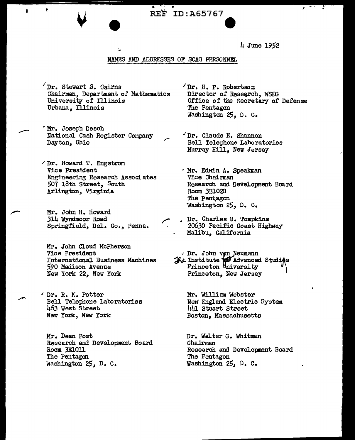$\bullet$ 4 June 1952

## NAMES AND ADDRESSES OF SCAG PERSONNEL

 $\gamma$ Dr. Stewart S. Cairns  $\gamma$ Dr. H. P. Robertson Chairman, Department of Mathematics University of Illinois Urbana, Illinois

 $\begin{array}{c|c}\n\cdot & \cdot \\
\hline\n\cdot & \text{REF ID: A65767}\n\end{array}$ 

- v Mr. Joseph Desch National Cash Register Company Dayton, Ohio
- *.1* Dr. Howard T. Engstrom Vice President Engineering Research Associates 507 18th Street, South Arlington, Virginia
	- Mr. John H. Howard 314 Wyndmoor Road Springfield, Del. Co., Penna.
	- Mr. John Cloud McPherson Vice President International Business Machines *590* Madison Avenue New York 22, New York
- ' Dr. R. K. Potter Bell Telephone Laboratories 463 West Street New York, New York

Mr. Dean Post Research and Development Board Room 3ElOll The Pentagon Washington 25, D. C.

- Director of Research, WSEG Office of the secretary or Defense The Pentagon Washington 25, D. C.
- "Dr. Claude E. Shannon Bell Telephone Laboratories Murray Hill, New Jersey
- " Mr. Edwin A. Speakman Vice Chairman Research and Development Board Room 3E1020 The Pentagon Washington 25, D. C.
- Dr. Charles B. Tompkins 20630 Pacific Coast Highway Malibu, California
- Dr. John von Neumann  $-$ Institute  $\frac{1}{2}$  Advanced Studi $\frac{1}{2}$ s Princeton  $\forall$ niversity  $\forall$ Princeton, New Jersey

Mr. William Webster New England Electric System 441 Stuart Street Boston, Massachusetts

Dr. Walter G. Whitman Chairman Research and Developnent Board The Pentagon Washington 25, D. C.

 $y - i$